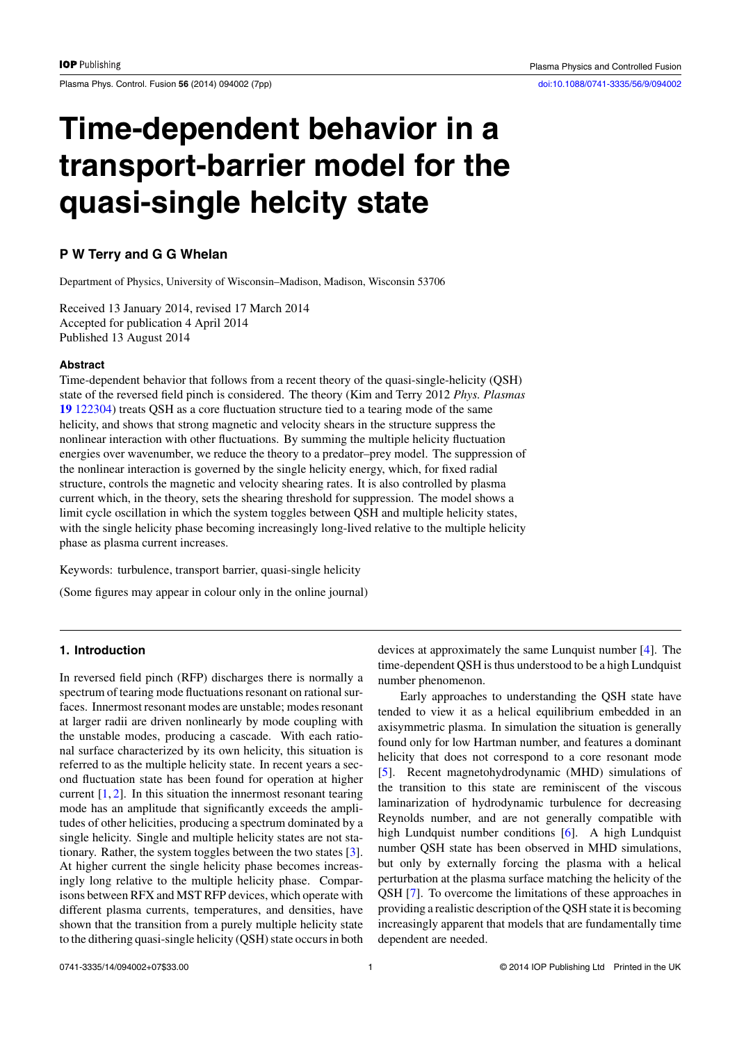Plasma Phys. Control. Fusion 56 (2014) 094002 (7pp) [doi:10.1088/0741-3335/56/9/094002](http://dx.doi.org/10.1088/0741-3335/56/9/094002)

# **Time-dependent behavior in a transport-barrier model for the quasi-single helcity state**

# **P W Terry and G G Whelan**

Department of Physics, University of Wisconsin–Madison, Madison, Wisconsin 53706

Received 13 January 2014, revised 17 March 2014 Accepted for publication 4 April 2014 Published 13 August 2014

## **Abstract**

Time-dependent behavior that follows from a recent theory of the quasi-single-helicity (QSH) state of the reversed field pinch is considered. The theory (Kim and Terry 2012 *Phys. Plasmas* **19** [122304\)](http://dx.doi.org/10.1063/1.4769369) treats QSH as a core fluctuation structure tied to a tearing mode of the same helicity, and shows that strong magnetic and velocity shears in the structure suppress the nonlinear interaction with other fluctuations. By summing the multiple helicity fluctuation energies over wavenumber, we reduce the theory to a predator–prey model. The suppression of the nonlinear interaction is governed by the single helicity energy, which, for fixed radial structure, controls the magnetic and velocity shearing rates. It is also controlled by plasma current which, in the theory, sets the shearing threshold for suppression. The model shows a limit cycle oscillation in which the system toggles between QSH and multiple helicity states, with the single helicity phase becoming increasingly long-lived relative to the multiple helicity phase as plasma current increases.

Keywords: turbulence, transport barrier, quasi-single helicity

(Some figures may appear in colour only in the online journal)

# **1. Introduction**

In reversed field pinch (RFP) discharges there is normally a spectrum of tearing mode fluctuations resonant on rational surfaces. Innermost resonant modes are unstable; modes resonant at larger radii are driven nonlinearly by mode coupling with the unstable modes, producing a cascade. With each rational surface characterized by its own helicity, this situation is referred to as the multiple helicity state. In recent years a second fluctuation state has been found for operation at higher current  $[1, 2]$  $[1, 2]$  $[1, 2]$ . In this situation the innermost resonant tearing mode has an amplitude that significantly exceeds the amplitudes of other helicities, producing a spectrum dominated by a single helicity. Single and multiple helicity states are not stationary. Rather, the system toggles between the two states [\[3\]](#page-6-0). At higher current the single helicity phase becomes increasingly long relative to the multiple helicity phase. Comparisons between RFX and MST RFP devices, which operate with different plasma currents, temperatures, and densities, have shown that the transition from a purely multiple helicity state to the dithering quasi-single helicity (QSH) state occurs in both

devices at approximately the same Lunquist number [\[4\]](#page-6-0). The time-dependent QSH is thus understood to be a high Lundquist number phenomenon.

Early approaches to understanding the QSH state have tended to view it as a helical equilibrium embedded in an axisymmetric plasma. In simulation the situation is generally found only for low Hartman number, and features a dominant helicity that does not correspond to a core resonant mode [\[5\]](#page-6-0). Recent magnetohydrodynamic (MHD) simulations of the transition to this state are reminiscent of the viscous laminarization of hydrodynamic turbulence for decreasing Reynolds number, and are not generally compatible with high Lundquist number conditions [\[6\]](#page-6-0). A high Lundquist number QSH state has been observed in MHD simulations, but only by externally forcing the plasma with a helical perturbation at the plasma surface matching the helicity of the QSH [\[7\]](#page-6-0). To overcome the limitations of these approaches in providing a realistic description of the QSH state it is becoming increasingly apparent that models that are fundamentally time dependent are needed.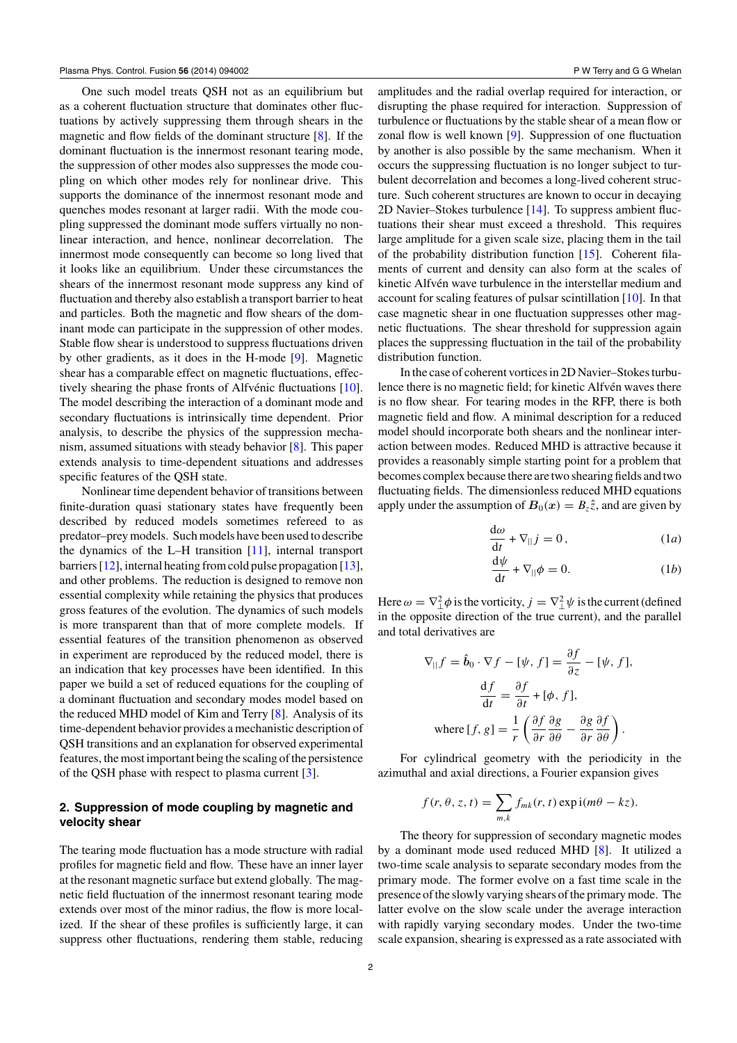<span id="page-1-0"></span>One such model treats QSH not as an equilibrium but as a coherent fluctuation structure that dominates other fluctuations by actively suppressing them through shears in the magnetic and flow fields of the dominant structure [\[8\]](#page-6-0). If the dominant fluctuation is the innermost resonant tearing mode, the suppression of other modes also suppresses the mode coupling on which other modes rely for nonlinear drive. This supports the dominance of the innermost resonant mode and quenches modes resonant at larger radii. With the mode coupling suppressed the dominant mode suffers virtually no nonlinear interaction, and hence, nonlinear decorrelation. The innermost mode consequently can become so long lived that it looks like an equilibrium. Under these circumstances the shears of the innermost resonant mode suppress any kind of fluctuation and thereby also establish a transport barrier to heat and particles. Both the magnetic and flow shears of the dominant mode can participate in the suppression of other modes. Stable flow shear is understood to suppress fluctuations driven by other gradients, as it does in the H-mode [\[9\]](#page-6-0). Magnetic shear has a comparable effect on magnetic fluctuations, effec-tively shearing the phase fronts of Alfvénic fluctuations [[10\]](#page-6-0). The model describing the interaction of a dominant mode and secondary fluctuations is intrinsically time dependent. Prior analysis, to describe the physics of the suppression mechanism, assumed situations with steady behavior [\[8\]](#page-6-0). This paper extends analysis to time-dependent situations and addresses specific features of the QSH state.

Nonlinear time dependent behavior of transitions between finite-duration quasi stationary states have frequently been described by reduced models sometimes refereed to as predator–prey models. Such models have been used to describe the dynamics of the L–H transition  $[11]$ , internal transport barriers [\[12\]](#page-6-0), internal heating from cold pulse propagation [\[13\]](#page-6-0), and other problems. The reduction is designed to remove non essential complexity while retaining the physics that produces gross features of the evolution. The dynamics of such models is more transparent than that of more complete models. If essential features of the transition phenomenon as observed in experiment are reproduced by the reduced model, there is an indication that key processes have been identified. In this paper we build a set of reduced equations for the coupling of a dominant fluctuation and secondary modes model based on the reduced MHD model of Kim and Terry [\[8\]](#page-6-0). Analysis of its time-dependent behavior provides a mechanistic description of QSH transitions and an explanation for observed experimental features, the most important being the scaling of the persistence of the QSH phase with respect to plasma current [\[3\]](#page-6-0).

# **2. Suppression of mode coupling by magnetic and velocity shear**

The tearing mode fluctuation has a mode structure with radial profiles for magnetic field and flow. These have an inner layer at the resonant magnetic surface but extend globally. The magnetic field fluctuation of the innermost resonant tearing mode extends over most of the minor radius, the flow is more localized. If the shear of these profiles is sufficiently large, it can suppress other fluctuations, rendering them stable, reducing

amplitudes and the radial overlap required for interaction, or disrupting the phase required for interaction. Suppression of turbulence or fluctuations by the stable shear of a mean flow or zonal flow is well known [\[9\]](#page-6-0). Suppression of one fluctuation by another is also possible by the same mechanism. When it occurs the suppressing fluctuation is no longer subject to turbulent decorrelation and becomes a long-lived coherent structure. Such coherent structures are known to occur in decaying 2D Navier–Stokes turbulence [\[14\]](#page-6-0). To suppress ambient fluctuations their shear must exceed a threshold. This requires large amplitude for a given scale size, placing them in the tail of the probability distribution function [\[15\]](#page-6-0). Coherent filaments of current and density can also form at the scales of kinetic Alfvén wave turbulence in the interstellar medium and account for scaling features of pulsar scintillation [\[10\]](#page-6-0). In that case magnetic shear in one fluctuation suppresses other magnetic fluctuations. The shear threshold for suppression again places the suppressing fluctuation in the tail of the probability distribution function.

In the case of coherent vortices in 2D Navier–Stokes turbulence there is no magnetic field; for kinetic Alfvén waves there is no flow shear. For tearing modes in the RFP, there is both magnetic field and flow. A minimal description for a reduced model should incorporate both shears and the nonlinear interaction between modes. Reduced MHD is attractive because it provides a reasonably simple starting point for a problem that becomes complex because there are two shearing fields and two fluctuating fields. The dimensionless reduced MHD equations apply under the assumption of  $B_0(x) = B_z\hat{z}$ , and are given by

$$
\frac{d\omega}{dt} + \nabla_{||} j = 0, \qquad (1a)
$$

$$
\frac{\mathrm{d}\psi}{\mathrm{d}t} + \nabla_{||}\phi = 0. \tag{1b}
$$

Here  $\omega = \nabla_{\perp}^2 \phi$  is the vorticity,  $j = \nabla_{\perp}^2 \psi$  is the current (defined in the opposite direction of the true current), and the parallel and total derivatives are

$$
\nabla_{||} f = \hat{\boldsymbol{b}}_0 \cdot \nabla f - [\psi, f] = \frac{\partial f}{\partial z} - [\psi, f],
$$

$$
\frac{df}{dt} = \frac{\partial f}{\partial t} + [\phi, f],
$$
where  $[f, g] = \frac{1}{r} \left( \frac{\partial f}{\partial r} \frac{\partial g}{\partial \theta} - \frac{\partial g}{\partial r} \frac{\partial f}{\partial \theta} \right).$ 

For cylindrical geometry with the periodicity in the azimuthal and axial directions, a Fourier expansion gives

$$
f(r, \theta, z, t) = \sum_{m,k} f_{mk}(r, t) \exp i(m\theta - kz).
$$

The theory for suppression of secondary magnetic modes by a dominant mode used reduced MHD [\[8\]](#page-6-0). It utilized a two-time scale analysis to separate secondary modes from the primary mode. The former evolve on a fast time scale in the presence of the slowly varying shears of the primary mode. The latter evolve on the slow scale under the average interaction with rapidly varying secondary modes. Under the two-time scale expansion, shearing is expressed as a rate associated with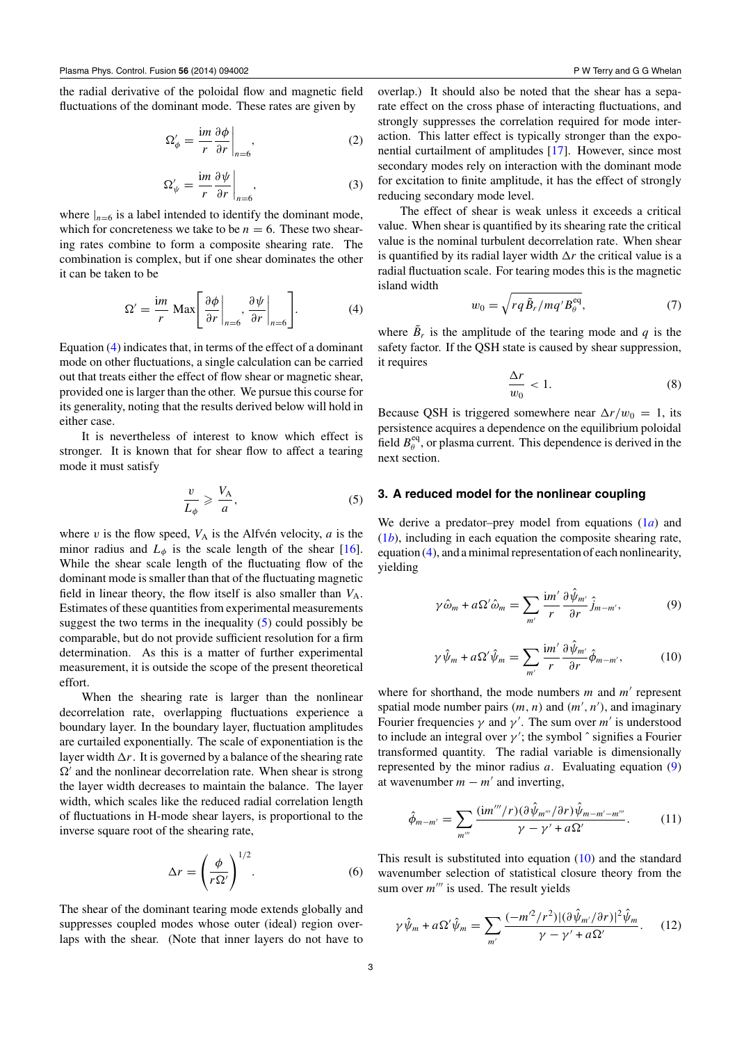<span id="page-2-0"></span>the radial derivative of the poloidal flow and magnetic field fluctuations of the dominant mode. These rates are given by

$$
\Omega'_{\phi} = \frac{\mathrm{i}m}{r} \frac{\partial \phi}{\partial r}\bigg|_{n=6},\tag{2}
$$

$$
\Omega'_{\psi} = \frac{\mathrm{i}m}{r} \frac{\partial \psi}{\partial r}\bigg|_{n=6},\tag{3}
$$

where  $|_{n=6}$  is a label intended to identify the dominant mode, which for concreteness we take to be  $n = 6$ . These two shearing rates combine to form a composite shearing rate. The combination is complex, but if one shear dominates the other it can be taken to be

$$
\Omega' = \frac{im}{r} \text{ Max} \left[ \frac{\partial \phi}{\partial r} \bigg|_{n=6}, \frac{\partial \psi}{\partial r} \bigg|_{n=6} \right]. \tag{4}
$$

Equation (4) indicates that, in terms of the effect of a dominant mode on other fluctuations, a single calculation can be carried out that treats either the effect of flow shear or magnetic shear, provided one is larger than the other. We pursue this course for its generality, noting that the results derived below will hold in either case.

It is nevertheless of interest to know which effect is stronger. It is known that for shear flow to affect a tearing mode it must satisfy

$$
\frac{v}{L_{\phi}} \geqslant \frac{V_{\text{A}}}{a},\tag{5}
$$

where  $v$  is the flow speed,  $V_A$  is the Alfvén velocity,  $a$  is the minor radius and  $L_{\phi}$  is the scale length of the shear [\[16\]](#page-6-0). While the shear scale length of the fluctuating flow of the dominant mode is smaller than that of the fluctuating magnetic field in linear theory, the flow itself is also smaller than  $V_A$ . Estimates of these quantities from experimental measurements suggest the two terms in the inequality (5) could possibly be comparable, but do not provide sufficient resolution for a firm determination. As this is a matter of further experimental measurement, it is outside the scope of the present theoretical effort.

When the shearing rate is larger than the nonlinear decorrelation rate, overlapping fluctuations experience a boundary layer. In the boundary layer, fluctuation amplitudes are curtailed exponentially. The scale of exponentiation is the layer width  $\Delta r$ . It is governed by a balance of the shearing rate  $\Omega'$  and the nonlinear decorrelation rate. When shear is strong the layer width decreases to maintain the balance. The layer width, which scales like the reduced radial correlation length of fluctuations in H-mode shear layers, is proportional to the inverse square root of the shearing rate,

$$
\Delta r = \left(\frac{\phi}{r\Omega'}\right)^{1/2}.\tag{6}
$$

The shear of the dominant tearing mode extends globally and suppresses coupled modes whose outer (ideal) region overlaps with the shear. (Note that inner layers do not have to overlap.) It should also be noted that the shear has a separate effect on the cross phase of interacting fluctuations, and strongly suppresses the correlation required for mode interaction. This latter effect is typically stronger than the exponential curtailment of amplitudes [\[17\]](#page-6-0). However, since most secondary modes rely on interaction with the dominant mode for excitation to finite amplitude, it has the effect of strongly reducing secondary mode level.

The effect of shear is weak unless it exceeds a critical value. When shear is quantified by its shearing rate the critical value is the nominal turbulent decorrelation rate. When shear is quantified by its radial layer width  $\Delta r$  the critical value is a radial fluctuation scale. For tearing modes this is the magnetic island width

$$
w_0 = \sqrt{rq\,\tilde{B}_r/mq'B_\theta^{\text{eq}}},\tag{7}
$$

where  $\tilde{B}_r$  is the amplitude of the tearing mode and *q* is the safety factor. If the QSH state is caused by shear suppression, it requires

$$
\frac{\Delta r}{w_0} < 1. \tag{8}
$$

Because QSH is triggered somewhere near  $\Delta r/w_0 = 1$ , its persistence acquires a dependence on the equilibrium poloidal field  $B_{\theta}^{\text{eq}}$ , or plasma current. This dependence is derived in the next section.

## **3. A reduced model for the nonlinear coupling**

We derive a predator–prey model from equations  $(1a)$  $(1a)$  and  $(1b)$  $(1b)$ , including in each equation the composite shearing rate, equation (4), and a minimal representation of each nonlinearity, yielding

$$
\gamma \hat{\omega}_m + a \Omega' \hat{\omega}_m = \sum_{m'} \frac{im'}{r} \frac{\partial \psi_{m'}}{\partial r} \hat{j}_{m-m'}, \tag{9}
$$

$$
\gamma \,\hat{\psi}_m + a\,\Omega' \hat{\psi}_m = \sum_{m'} \frac{im'}{r} \frac{\partial \hat{\psi}_{m'}}{\partial r} \hat{\phi}_{m-m'},\tag{10}
$$

where for shorthand, the mode numbers  $m$  and  $m'$  represent spatial mode number pairs  $(m, n)$  and  $(m', n')$ , and imaginary Fourier frequencies  $\gamma$  and  $\gamma'$ . The sum over  $m'$  is understood to include an integral over  $\gamma'$ ; the symbol  $\hat{ }$  signifies a Fourier transformed quantity. The radial variable is dimensionally represented by the minor radius *a*. Evaluating equation (9) at wavenumber  $m - m'$  and inverting,

$$
\hat{\phi}_{m-m'} = \sum_{m'''} \frac{(\mathrm{i}m'''/r)(\partial \hat{\psi}_{m''}/\partial r)\hat{\psi}_{m-m'-m''}}{\gamma - \gamma' + a\Omega'}.
$$
 (11)

This result is substituted into equation (10) and the standard wavenumber selection of statistical closure theory from the sum over  $m^{\prime\prime\prime}$  is used. The result yields

$$
\gamma \hat{\psi}_m + a\Omega' \hat{\psi}_m = \sum_{m'} \frac{(-m'^2/r^2)|(\partial \hat{\psi}_{m'}/\partial r)|^2 \hat{\psi}_m}{\gamma - \gamma' + a\Omega'}.
$$
 (12)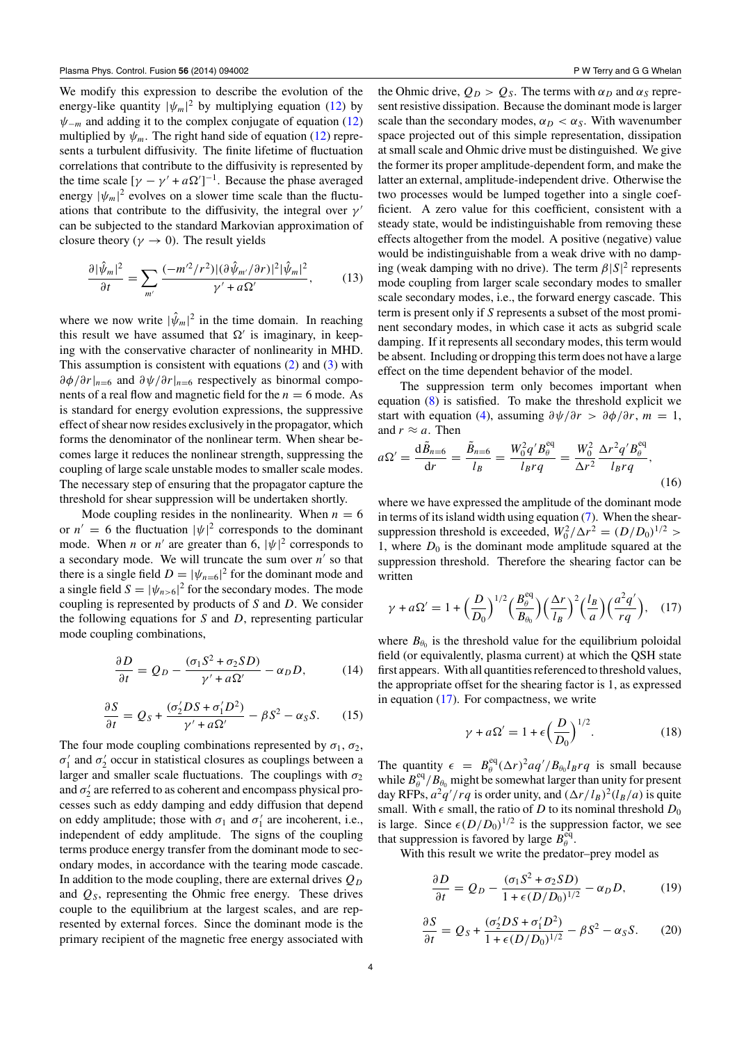<span id="page-3-0"></span>We modify this expression to describe the evolution of the energy-like quantity  $|\psi_m|^2$  by multiplying equation [\(12\)](#page-2-0) by  $\psi$ <sub>−*m*</sub> and adding it to the complex conjugate of equation [\(12\)](#page-2-0) multiplied by  $\psi_m$ . The right hand side of equation [\(12\)](#page-2-0) represents a turbulent diffusivity. The finite lifetime of fluctuation correlations that contribute to the diffusivity is represented by the time scale  $[\gamma - \gamma' + a\Omega']^{-1}$ . Because the phase averaged energy  $|\psi_m|^2$  evolves on a slower time scale than the fluctuations that contribute to the diffusivity, the integral over *γ* can be subjected to the standard Markovian approximation of closure theory ( $\gamma \rightarrow 0$ ). The result yields

$$
\frac{\partial |\hat{\psi}_m|^2}{\partial t} = \sum_{m'} \frac{(-m'^2/r^2) |(\partial \hat{\psi}_{m'}/\partial r)|^2 |\hat{\psi}_m|^2}{\gamma' + a\Omega'},\tag{13}
$$

where we now write  $|\hat{\psi}_m|^2$  in the time domain. In reaching this result we have assumed that  $\Omega'$  is imaginary, in keeping with the conservative character of nonlinearity in MHD. This assumption is consistent with equations  $(2)$  and  $(3)$  with *∂φ/∂r*|*n*=<sup>6</sup> and *∂ψ/∂r*|*n*=<sup>6</sup> respectively as binormal components of a real flow and magnetic field for the  $n = 6$  mode. As is standard for energy evolution expressions, the suppressive effect of shear now resides exclusively in the propagator, which forms the denominator of the nonlinear term. When shear becomes large it reduces the nonlinear strength, suppressing the coupling of large scale unstable modes to smaller scale modes. The necessary step of ensuring that the propagator capture the threshold for shear suppression will be undertaken shortly.

Mode coupling resides in the nonlinearity. When  $n = 6$ or  $n' = 6$  the fluctuation  $|\psi|^2$  corresponds to the dominant mode. When *n* or *n'* are greater than 6,  $|\psi|^2$  corresponds to a secondary mode. We will truncate the sum over  $n'$  so that there is a single field  $D = |\psi_{n=6}|^2$  for the dominant mode and a single field  $S = |\psi_{n>6}|^2$  for the secondary modes. The mode coupling is represented by products of *S* and *D*. We consider the following equations for *S* and *D*, representing particular mode coupling combinations,

$$
\frac{\partial D}{\partial t} = Q_D - \frac{(\sigma_1 S^2 + \sigma_2 SD)}{\gamma' + a\Omega'} - \alpha_D D,\tag{14}
$$

$$
\frac{\partial S}{\partial t} = Q_S + \frac{(\sigma'_2 DS + \sigma'_1 D^2)}{\gamma' + a\Omega'} - \beta S^2 - \alpha_S S. \tag{15}
$$

The four mode coupling combinations represented by  $\sigma_1$ ,  $\sigma_2$ ,  $\sigma_1'$  and  $\sigma_2'$  occur in statistical closures as couplings between a larger and smaller scale fluctuations. The couplings with  $\sigma_2$ and  $\sigma'_2$  are referred to as coherent and encompass physical processes such as eddy damping and eddy diffusion that depend on eddy amplitude; those with  $\sigma_1$  and  $\sigma'_1$  are incoherent, i.e., independent of eddy amplitude. The signs of the coupling terms produce energy transfer from the dominant mode to secondary modes, in accordance with the tearing mode cascade. In addition to the mode coupling, there are external drives  $Q_D$ and *QS*, representing the Ohmic free energy. These drives couple to the equilibrium at the largest scales, and are represented by external forces. Since the dominant mode is the primary recipient of the magnetic free energy associated with the Ohmic drive,  $Q_D > Q_S$ . The terms with  $\alpha_D$  and  $\alpha_S$  represent resistive dissipation. Because the dominant mode is larger scale than the secondary modes,  $\alpha_D < \alpha_S$ . With wavenumber space projected out of this simple representation, dissipation at small scale and Ohmic drive must be distinguished. We give the former its proper amplitude-dependent form, and make the latter an external, amplitude-independent drive. Otherwise the two processes would be lumped together into a single coefficient. A zero value for this coefficient, consistent with a steady state, would be indistinguishable from removing these effects altogether from the model. A positive (negative) value would be indistinguishable from a weak drive with no damping (weak damping with no drive). The term  $\beta |S|^2$  represents mode coupling from larger scale secondary modes to smaller scale secondary modes, i.e., the forward energy cascade. This term is present only if *S* represents a subset of the most prominent secondary modes, in which case it acts as subgrid scale damping. If it represents all secondary modes, this term would be absent. Including or dropping this term does not have a large effect on the time dependent behavior of the model.

The suppression term only becomes important when equation [\(8\)](#page-2-0) is satisfied. To make the threshold explicit we start with equation [\(4\)](#page-2-0), assuming  $\frac{\partial \psi}{\partial r} > \frac{\partial \phi}{\partial r}$ ,  $m = 1$ , and  $r \approx a$ . Then

$$
a\Omega' = \frac{\mathrm{d}\tilde{B}_{n=6}}{\mathrm{d}r} = \frac{\tilde{B}_{n=6}}{l_B} = \frac{W_0^2 q' B_\theta^{\text{eq}}}{l_B r q} = \frac{W_0^2}{\Delta r^2} \frac{\Delta r^2 q' B_\theta^{\text{eq}}}{l_B r q},\tag{16}
$$

where we have expressed the amplitude of the dominant mode in terms of its island width using equation  $(7)$ . When the shearsuppression threshold is exceeded,  $W_0^2 / \Delta r^2 = (D/D_0)^{1/2}$ 1, where  $D_0$  is the dominant mode amplitude squared at the suppression threshold. Therefore the shearing factor can be written

$$
\gamma + a\Omega' = 1 + \left(\frac{D}{D_0}\right)^{1/2} \left(\frac{B_\theta^{\text{eq}}}{B_{\theta_0}}\right) \left(\frac{\Delta r}{l_B}\right)^2 \left(\frac{l_B}{a}\right) \left(\frac{a^2q'}{rq}\right), \quad (17)
$$

where  $B_{\theta_0}$  is the threshold value for the equilibrium poloidal field (or equivalently, plasma current) at which the QSH state first appears. With all quantities referenced to threshold values, the appropriate offset for the shearing factor is 1, as expressed in equation  $(17)$ . For compactness, we write

$$
\gamma + a\Omega' = 1 + \epsilon \left(\frac{D}{D_0}\right)^{1/2}.\tag{18}
$$

The quantity  $\epsilon = B_{\theta}^{\text{eq}}(\Delta r)^2 aq'/B_{\theta_0}l_B r q$  is small because while  $B_{\theta}^{\text{eq}}/B_{\theta_0}$  might be somewhat larger than unity for present day RFPs,  $a^2q'/rq$  is order unity, and  $(\Delta r/l_B)^2(l_B/a)$  is quite small. With  $\epsilon$  small, the ratio of *D* to its nominal threshold  $D_0$ is large. Since  $\epsilon (D/D_0)^{1/2}$  is the suppression factor, we see that suppression is favored by large  $\vec{B}_{\theta}^{\text{eq}}$ .

With this result we write the predator–prey model as

$$
\frac{\partial D}{\partial t} = Q_D - \frac{(\sigma_1 S^2 + \sigma_2 SD)}{1 + \epsilon (D/D_0)^{1/2}} - \alpha_D D,\tag{19}
$$

$$
\frac{\partial S}{\partial t} = Q_S + \frac{(\sigma_2' DS + \sigma_1' D^2)}{1 + \epsilon (D/D_0)^{1/2}} - \beta S^2 - \alpha_S S. \tag{20}
$$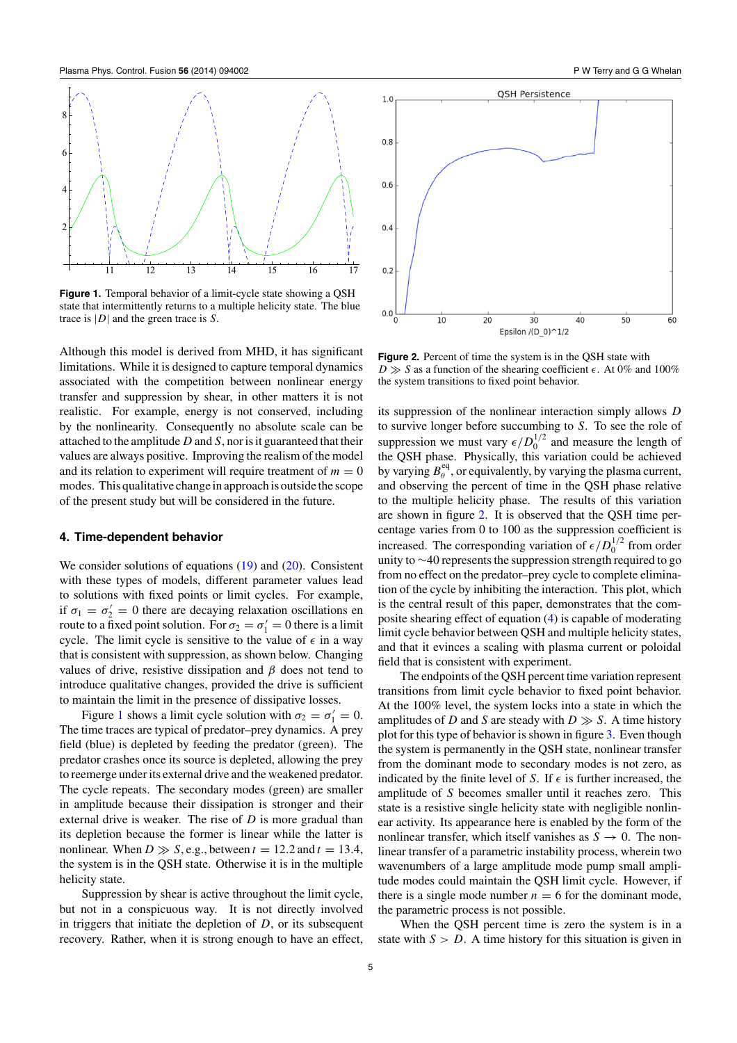<span id="page-4-0"></span>

**Figure 1.** Temporal behavior of a limit-cycle state showing a QSH state that intermittently returns to a multiple helicity state. The blue trace is |*D*| and the green trace is *S*.

Although this model is derived from MHD, it has significant limitations. While it is designed to capture temporal dynamics associated with the competition between nonlinear energy transfer and suppression by shear, in other matters it is not realistic. For example, energy is not conserved, including by the nonlinearity. Consequently no absolute scale can be attached to the amplitude *D* and *S*, nor is it guaranteed that their values are always positive. Improving the realism of the model and its relation to experiment will require treatment of  $m = 0$ modes. This qualitative change in approach is outside the scope of the present study but will be considered in the future.

#### **4. Time-dependent behavior**

We consider solutions of equations [\(19\)](#page-3-0) and [\(20\)](#page-3-0). Consistent with these types of models, different parameter values lead to solutions with fixed points or limit cycles. For example, if  $\sigma_1 = \sigma_2' = 0$  there are decaying relaxation oscillations en route to a fixed point solution. For  $\sigma_2 = \sigma'_1 = 0$  there is a limit cycle. The limit cycle is sensitive to the value of  $\epsilon$  in a way that is consistent with suppression, as shown below. Changing values of drive, resistive dissipation and *β* does not tend to introduce qualitative changes, provided the drive is sufficient to maintain the limit in the presence of dissipative losses.

Figure 1 shows a limit cycle solution with  $\sigma_2 = \sigma_1' = 0$ . The time traces are typical of predator–prey dynamics. A prey field (blue) is depleted by feeding the predator (green). The predator crashes once its source is depleted, allowing the prey to reemerge under its external drive and the weakened predator. The cycle repeats. The secondary modes (green) are smaller in amplitude because their dissipation is stronger and their external drive is weaker. The rise of *D* is more gradual than its depletion because the former is linear while the latter is nonlinear. When  $D \gg S$ , e.g., between  $t = 12.2$  and  $t = 13.4$ , the system is in the QSH state. Otherwise it is in the multiple helicity state.

Suppression by shear is active throughout the limit cycle, but not in a conspicuous way. It is not directly involved in triggers that initiate the depletion of *D*, or its subsequent recovery. Rather, when it is strong enough to have an effect,



**Figure 2.** Percent of time the system is in the QSH state with  $D \gg S$  as a function of the shearing coefficient  $\epsilon$ . At 0% and 100%

the system transitions to fixed point behavior.

its suppression of the nonlinear interaction simply allows *D* to survive longer before succumbing to *S*. To see the role of suppression we must vary  $\epsilon/D_0^{1/2}$  and measure the length of the QSH phase. Physically, this variation could be achieved by varying  $B_{\theta}^{\text{eq}}$ , or equivalently, by varying the plasma current, and observing the percent of time in the QSH phase relative to the multiple helicity phase. The results of this variation are shown in figure 2. It is observed that the QSH time percentage varies from 0 to 100 as the suppression coefficient is increased. The corresponding variation of  $\epsilon/D_0^{1/2}$  from order unity to ∼40 represents the suppression strength required to go from no effect on the predator–prey cycle to complete elimination of the cycle by inhibiting the interaction. This plot, which is the central result of this paper, demonstrates that the composite shearing effect of equation [\(4\)](#page-2-0) is capable of moderating limit cycle behavior between QSH and multiple helicity states, and that it evinces a scaling with plasma current or poloidal field that is consistent with experiment.

The endpoints of the QSH percent time variation represent transitions from limit cycle behavior to fixed point behavior. At the 100% level, the system locks into a state in which the amplitudes of *D* and *S* are steady with  $D \gg S$ . A time history plot for this type of behavior is shown in figure [3.](#page-5-0) Even though the system is permanently in the QSH state, nonlinear transfer from the dominant mode to secondary modes is not zero, as indicated by the finite level of *S*. If  $\epsilon$  is further increased, the amplitude of *S* becomes smaller until it reaches zero. This state is a resistive single helicity state with negligible nonlinear activity. Its appearance here is enabled by the form of the nonlinear transfer, which itself vanishes as  $S \rightarrow 0$ . The nonlinear transfer of a parametric instability process, wherein two wavenumbers of a large amplitude mode pump small amplitude modes could maintain the QSH limit cycle. However, if there is a single mode number  $n = 6$  for the dominant mode, the parametric process is not possible.

When the QSH percent time is zero the system is in a state with  $S > D$ . A time history for this situation is given in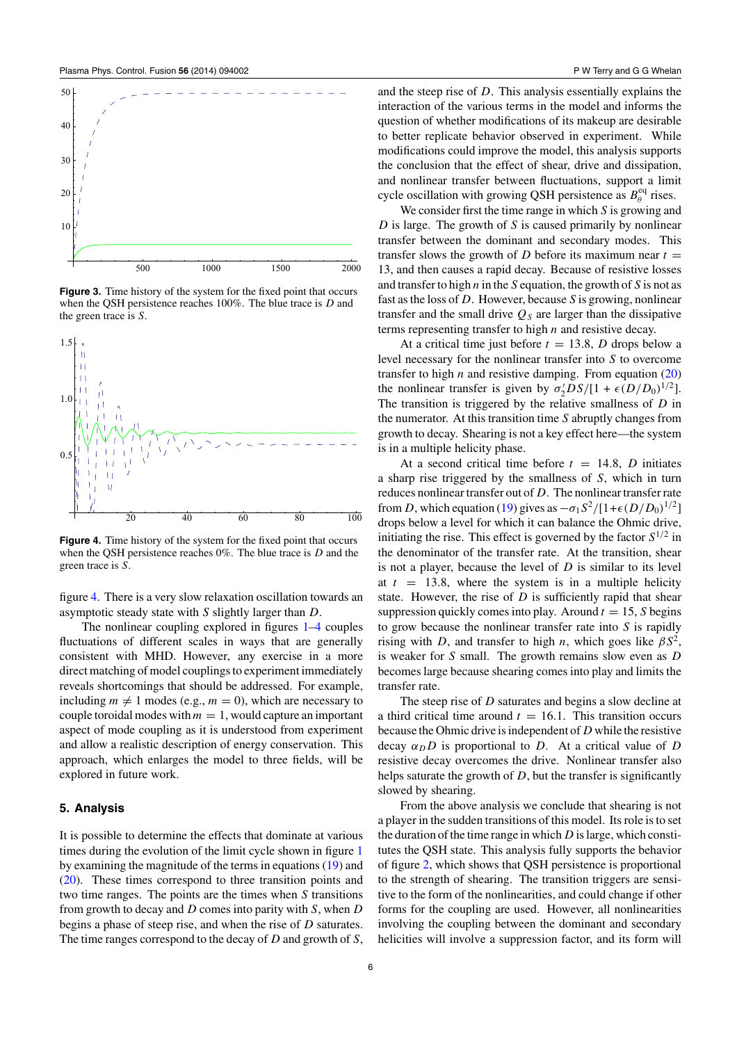<span id="page-5-0"></span>

**Figure 3.** Time history of the system for the fixed point that occurs when the QSH persistence reaches 100%. The blue trace is *D* and the green trace is *S*.



**Figure 4.** Time history of the system for the fixed point that occurs when the QSH persistence reaches 0%. The blue trace is *D* and the green trace is *S*.

figure 4. There is a very slow relaxation oscillation towards an asymptotic steady state with *S* slightly larger than *D*.

The nonlinear coupling explored in figures [1–](#page-4-0)4 couples fluctuations of different scales in ways that are generally consistent with MHD. However, any exercise in a more direct matching of model couplings to experiment immediately reveals shortcomings that should be addressed. For example, including  $m \neq 1$  modes (e.g.,  $m = 0$ ), which are necessary to couple toroidal modes with  $m = 1$ , would capture an important aspect of mode coupling as it is understood from experiment and allow a realistic description of energy conservation. This approach, which enlarges the model to three fields, will be explored in future work.

## **5. Analysis**

It is possible to determine the effects that dominate at various times during the evolution of the limit cycle shown in figure [1](#page-4-0) by examining the magnitude of the terms in equations [\(19\)](#page-3-0) and [\(20\)](#page-3-0). These times correspond to three transition points and two time ranges. The points are the times when *S* transitions from growth to decay and *D* comes into parity with *S*, when *D* begins a phase of steep rise, and when the rise of *D* saturates. The time ranges correspond to the decay of *D* and growth of *S*, and the steep rise of *D*. This analysis essentially explains the interaction of the various terms in the model and informs the question of whether modifications of its makeup are desirable to better replicate behavior observed in experiment. While modifications could improve the model, this analysis supports the conclusion that the effect of shear, drive and dissipation, and nonlinear transfer between fluctuations, support a limit cycle oscillation with growing QSH persistence as  $B_{\theta}^{\text{eq}}$  rises.

We consider first the time range in which *S* is growing and *D* is large. The growth of *S* is caused primarily by nonlinear transfer between the dominant and secondary modes. This transfer slows the growth of *D* before its maximum near  $t =$ 13, and then causes a rapid decay. Because of resistive losses and transfer to high *n* in the *S* equation, the growth of *S* is not as fast as the loss of *D*. However, because *S* is growing, nonlinear transfer and the small drive  $Q_S$  are larger than the dissipative terms representing transfer to high *n* and resistive decay.

At a critical time just before  $t = 13.8$ , *D* drops below a level necessary for the nonlinear transfer into *S* to overcome transfer to high *n* and resistive damping. From equation [\(20\)](#page-3-0) the nonlinear transfer is given by  $\sigma_2' DS/[1 + \epsilon (D/D_0)^{1/2}]$ . The transition is triggered by the relative smallness of *D* in the numerator. At this transition time *S* abruptly changes from growth to decay. Shearing is not a key effect here—the system is in a multiple helicity phase.

At a second critical time before  $t = 14.8$ , *D* initiates a sharp rise triggered by the smallness of *S*, which in turn reduces nonlinear transfer out of *D*. The nonlinear transfer rate from *D*, which equation [\(19\)](#page-3-0) gives as  $-\sigma_1 S^2/[1+\epsilon (D/D_0)^{1/2}]$ drops below a level for which it can balance the Ohmic drive, initiating the rise. This effect is governed by the factor  $S^{1/2}$  in the denominator of the transfer rate. At the transition, shear is not a player, because the level of *D* is similar to its level at  $t = 13.8$ , where the system is in a multiple helicity state. However, the rise of *D* is sufficiently rapid that shear suppression quickly comes into play. Around  $t = 15$ , *S* begins to grow because the nonlinear transfer rate into *S* is rapidly rising with *D*, and transfer to high *n*, which goes like  $\beta S^2$ , is weaker for *S* small. The growth remains slow even as *D* becomes large because shearing comes into play and limits the transfer rate.

The steep rise of *D* saturates and begins a slow decline at a third critical time around  $t = 16.1$ . This transition occurs because the Ohmic drive is independent of *D* while the resistive decay  $\alpha_D D$  is proportional to *D*. At a critical value of *D* resistive decay overcomes the drive. Nonlinear transfer also helps saturate the growth of *D*, but the transfer is significantly slowed by shearing.

From the above analysis we conclude that shearing is not a player in the sudden transitions of this model. Its role is to set the duration of the time range in which *D* is large, which constitutes the QSH state. This analysis fully supports the behavior of figure [2,](#page-4-0) which shows that QSH persistence is proportional to the strength of shearing. The transition triggers are sensitive to the form of the nonlinearities, and could change if other forms for the coupling are used. However, all nonlinearities involving the coupling between the dominant and secondary helicities will involve a suppression factor, and its form will